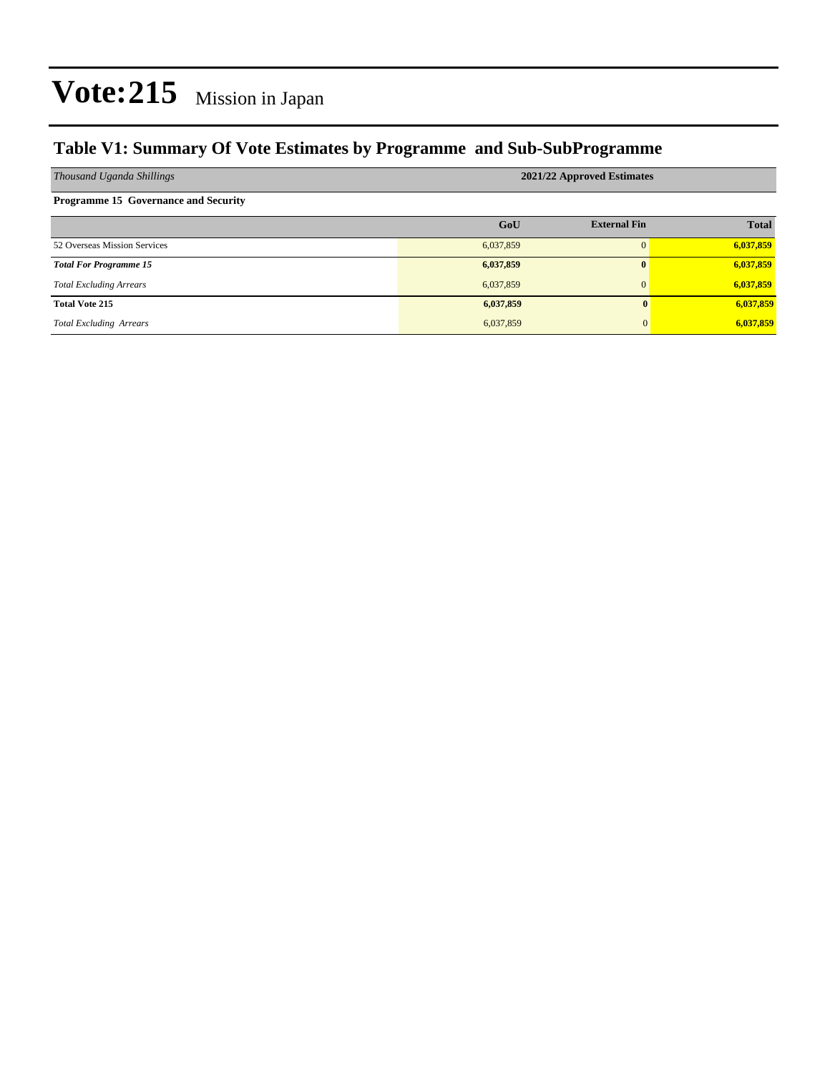### **Table V1: Summary Of Vote Estimates by Programme and Sub-SubProgramme**

| Thousand Uganda Shillings                   | 2021/22 Approved Estimates |                     |              |  |  |  |  |
|---------------------------------------------|----------------------------|---------------------|--------------|--|--|--|--|
| <b>Programme 15 Governance and Security</b> |                            |                     |              |  |  |  |  |
|                                             | GoU                        | <b>External Fin</b> | <b>Total</b> |  |  |  |  |
| 52 Overseas Mission Services                | 6,037,859                  | $\Omega$            | 6,037,859    |  |  |  |  |
| <b>Total For Programme 15</b>               | 6,037,859                  | $\mathbf{0}$        | 6,037,859    |  |  |  |  |
| <b>Total Excluding Arrears</b>              | 6,037,859                  | $\mathbf{0}$        | 6,037,859    |  |  |  |  |
| <b>Total Vote 215</b>                       | 6,037,859                  | 0                   | 6,037,859    |  |  |  |  |
| <b>Total Excluding Arrears</b>              | 6,037,859                  | 0                   | 6,037,859    |  |  |  |  |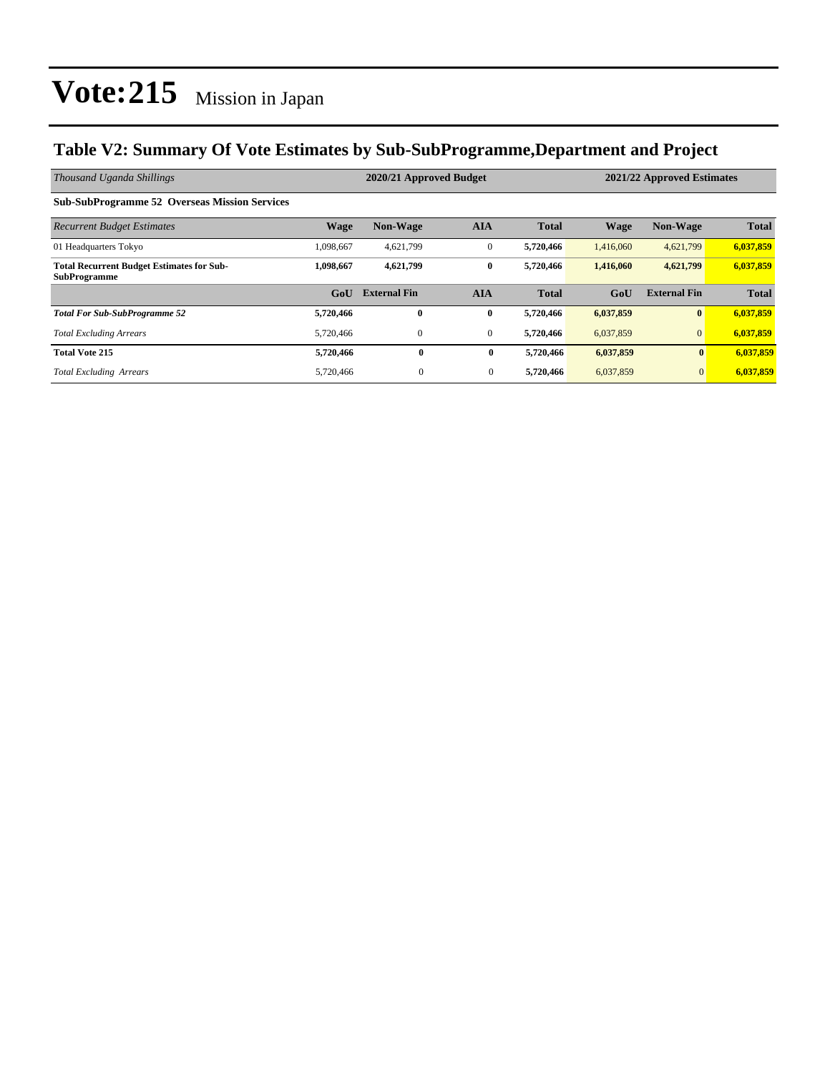### **Table V2: Summary Of Vote Estimates by Sub-SubProgramme,Department and Project**

| Thousand Uganda Shillings                                               |                  | 2020/21 Approved Budget |                |              | 2021/22 Approved Estimates |                     |              |  |
|-------------------------------------------------------------------------|------------------|-------------------------|----------------|--------------|----------------------------|---------------------|--------------|--|
| <b>Sub-SubProgramme 52 Overseas Mission Services</b>                    |                  |                         |                |              |                            |                     |              |  |
| <b>Recurrent Budget Estimates</b>                                       | <b>Wage</b>      | <b>Non-Wage</b>         | <b>AIA</b>     | <b>Total</b> | <b>Wage</b>                | <b>Non-Wage</b>     | <b>Total</b> |  |
| 01 Headquarters Tokyo                                                   | 1,098,667        | 4,621,799               | $\mathbf{0}$   | 5,720,466    | 1,416,060                  | 4,621,799           | 6,037,859    |  |
| <b>Total Recurrent Budget Estimates for Sub-</b><br><b>SubProgramme</b> | 1.098.667        | 4,621,799               | $\bf{0}$       | 5,720,466    | 1,416,060                  | 4,621,799           | 6,037,859    |  |
|                                                                         | G <sub>0</sub> U | <b>External Fin</b>     | <b>AIA</b>     | <b>Total</b> | GoU                        | <b>External Fin</b> | <b>Total</b> |  |
| <b>Total For Sub-SubProgramme 52</b>                                    | 5,720,466        | $\bf{0}$                | $\bf{0}$       | 5,720,466    | 6,037,859                  | $\bf{0}$            | 6,037,859    |  |
| <b>Total Excluding Arrears</b>                                          | 5,720,466        | $\mathbf{0}$            | $\mathbf{0}$   | 5,720,466    | 6,037,859                  | $\mathbf{0}$        | 6,037,859    |  |
| <b>Total Vote 215</b>                                                   | 5,720,466        | $\bf{0}$                | $\bf{0}$       | 5,720,466    | 6,037,859                  | $\mathbf{0}$        | 6,037,859    |  |
| <b>Total Excluding Arrears</b>                                          | 5,720,466        | $\mathbf{0}$            | $\overline{0}$ | 5,720,466    | 6,037,859                  | $\mathbf{0}$        | 6,037,859    |  |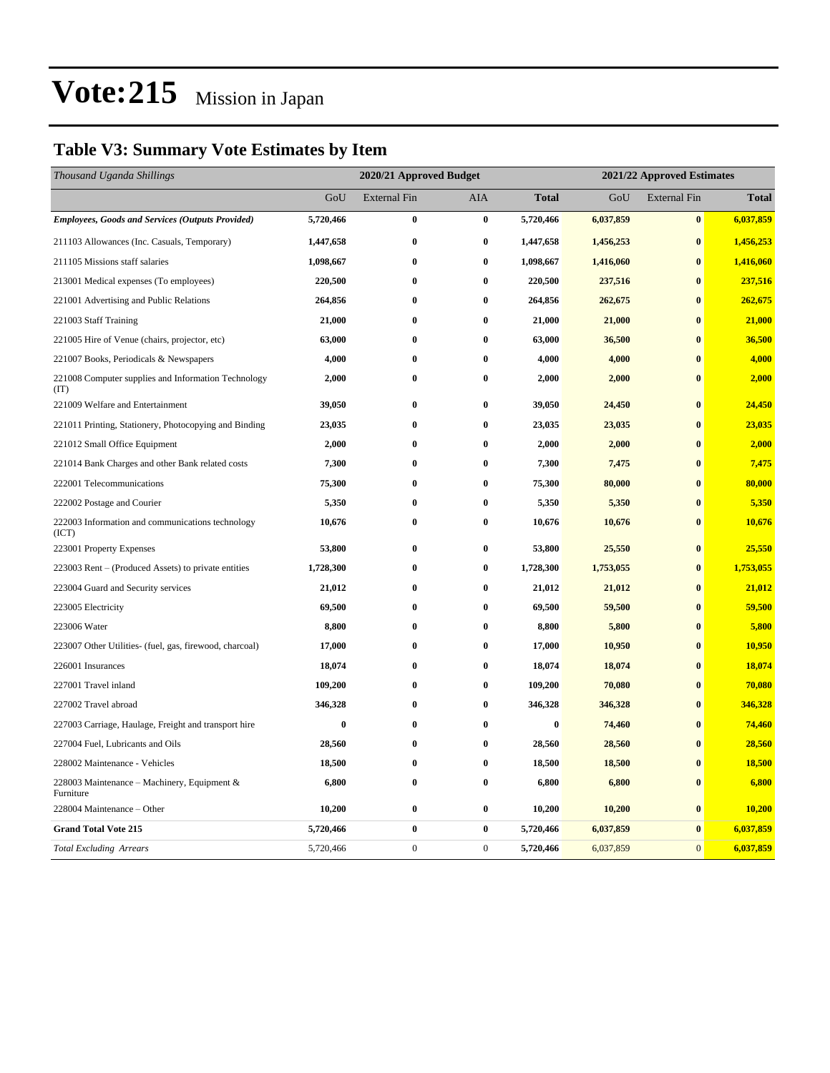## **Table V3: Summary Vote Estimates by Item**

| Thousand Uganda Shillings                                   | 2020/21 Approved Budget |                     |                  |              | 2021/22 Approved Estimates |                     |              |  |
|-------------------------------------------------------------|-------------------------|---------------------|------------------|--------------|----------------------------|---------------------|--------------|--|
|                                                             | GoU                     | <b>External Fin</b> | AIA              | <b>Total</b> | GoU                        | <b>External Fin</b> | <b>Total</b> |  |
| <b>Employees, Goods and Services (Outputs Provided)</b>     | 5,720,466               | $\bf{0}$            | $\bf{0}$         | 5,720,466    | 6,037,859                  | $\bf{0}$            | 6,037,859    |  |
| 211103 Allowances (Inc. Casuals, Temporary)                 | 1,447,658               | 0                   | $\bf{0}$         | 1,447,658    | 1,456,253                  | $\bf{0}$            | 1,456,253    |  |
| 211105 Missions staff salaries                              | 1,098,667               | $\bf{0}$            | $\bf{0}$         | 1,098,667    | 1,416,060                  | $\bf{0}$            | 1,416,060    |  |
| 213001 Medical expenses (To employees)                      | 220,500                 | $\bf{0}$            | $\bf{0}$         | 220,500      | 237,516                    | $\bf{0}$            | 237,516      |  |
| 221001 Advertising and Public Relations                     | 264,856                 | $\bf{0}$            | $\bf{0}$         | 264,856      | 262,675                    | $\bf{0}$            | 262,675      |  |
| 221003 Staff Training                                       | 21,000                  | 0                   | $\bf{0}$         | 21,000       | 21,000                     | $\bf{0}$            | 21,000       |  |
| 221005 Hire of Venue (chairs, projector, etc)               | 63,000                  | $\bf{0}$            | $\bf{0}$         | 63,000       | 36,500                     | $\bf{0}$            | 36,500       |  |
| 221007 Books, Periodicals & Newspapers                      | 4,000                   | $\bf{0}$            | $\bf{0}$         | 4,000        | 4,000                      | $\bf{0}$            | 4,000        |  |
| 221008 Computer supplies and Information Technology<br>(TT) | 2,000                   | 0                   | $\bf{0}$         | 2,000        | 2,000                      | $\bf{0}$            | 2,000        |  |
| 221009 Welfare and Entertainment                            | 39,050                  | 0                   | $\bf{0}$         | 39,050       | 24,450                     | $\bf{0}$            | 24,450       |  |
| 221011 Printing, Stationery, Photocopying and Binding       | 23,035                  | 0                   | $\bf{0}$         | 23,035       | 23,035                     | $\bf{0}$            | 23,035       |  |
| 221012 Small Office Equipment                               | 2,000                   | 0                   | $\bf{0}$         | 2,000        | 2,000                      | $\bf{0}$            | 2,000        |  |
| 221014 Bank Charges and other Bank related costs            | 7,300                   | 0                   | $\bf{0}$         | 7,300        | 7,475                      | $\bf{0}$            | 7,475        |  |
| 222001 Telecommunications                                   | 75,300                  | $\bf{0}$            | $\bf{0}$         | 75,300       | 80,000                     | $\bf{0}$            | 80,000       |  |
| 222002 Postage and Courier                                  | 5,350                   | $\bf{0}$            | $\bf{0}$         | 5,350        | 5,350                      | $\bf{0}$            | 5,350        |  |
| 222003 Information and communications technology<br>(ICT)   | 10,676                  | 0                   | $\bf{0}$         | 10,676       | 10,676                     | $\bf{0}$            | 10,676       |  |
| 223001 Property Expenses                                    | 53,800                  | $\bf{0}$            | $\bf{0}$         | 53,800       | 25,550                     | $\bf{0}$            | 25,550       |  |
| 223003 Rent – (Produced Assets) to private entities         | 1,728,300               | 0                   | $\bf{0}$         | 1,728,300    | 1,753,055                  | $\bf{0}$            | 1,753,055    |  |
| 223004 Guard and Security services                          | 21,012                  | 0                   | $\bf{0}$         | 21,012       | 21,012                     | $\bf{0}$            | 21,012       |  |
| 223005 Electricity                                          | 69,500                  | 0                   | $\bf{0}$         | 69,500       | 59,500                     | $\bf{0}$            | 59,500       |  |
| 223006 Water                                                | 8,800                   | 0                   | $\bf{0}$         | 8,800        | 5,800                      | $\bf{0}$            | 5,800        |  |
| 223007 Other Utilities- (fuel, gas, firewood, charcoal)     | 17,000                  | 0                   | $\bf{0}$         | 17,000       | 10,950                     | $\bf{0}$            | 10,950       |  |
| 226001 Insurances                                           | 18,074                  | 0                   | $\bf{0}$         | 18,074       | 18,074                     | $\bf{0}$            | 18,074       |  |
| 227001 Travel inland                                        | 109,200                 | $\bf{0}$            | $\bf{0}$         | 109,200      | 70,080                     | $\bf{0}$            | 70,080       |  |
| 227002 Travel abroad                                        | 346,328                 | 0                   | $\bf{0}$         | 346,328      | 346,328                    | $\bf{0}$            | 346,328      |  |
| 227003 Carriage, Haulage, Freight and transport hire        | $\bf{0}$                | 0                   | $\bf{0}$         | $\bf{0}$     | 74,460                     | $\bf{0}$            | 74,460       |  |
| 227004 Fuel, Lubricants and Oils                            | 28,560                  | 0                   | $\bf{0}$         | 28,560       | 28,560                     | $\bf{0}$            | 28,560       |  |
| 228002 Maintenance - Vehicles                               | 18,500                  | $\bf{0}$            | $\bf{0}$         | 18,500       | 18,500                     | $\bf{0}$            | 18,500       |  |
| 228003 Maintenance - Machinery, Equipment &<br>Furniture    | 6,800                   | $\bf{0}$            | $\bf{0}$         | 6,800        | 6,800                      | $\bf{0}$            | 6,800        |  |
| 228004 Maintenance - Other                                  | 10,200                  | 0                   | $\bf{0}$         | 10,200       | 10,200                     | $\bf{0}$            | 10,200       |  |
| <b>Grand Total Vote 215</b>                                 | 5,720,466               | $\bf{0}$            | $\bf{0}$         | 5,720,466    | 6,037,859                  | $\bf{0}$            | 6,037,859    |  |
| <b>Total Excluding Arrears</b>                              | 5,720,466               | $\boldsymbol{0}$    | $\boldsymbol{0}$ | 5,720,466    | 6,037,859                  | $\mathbf{0}$        | 6,037,859    |  |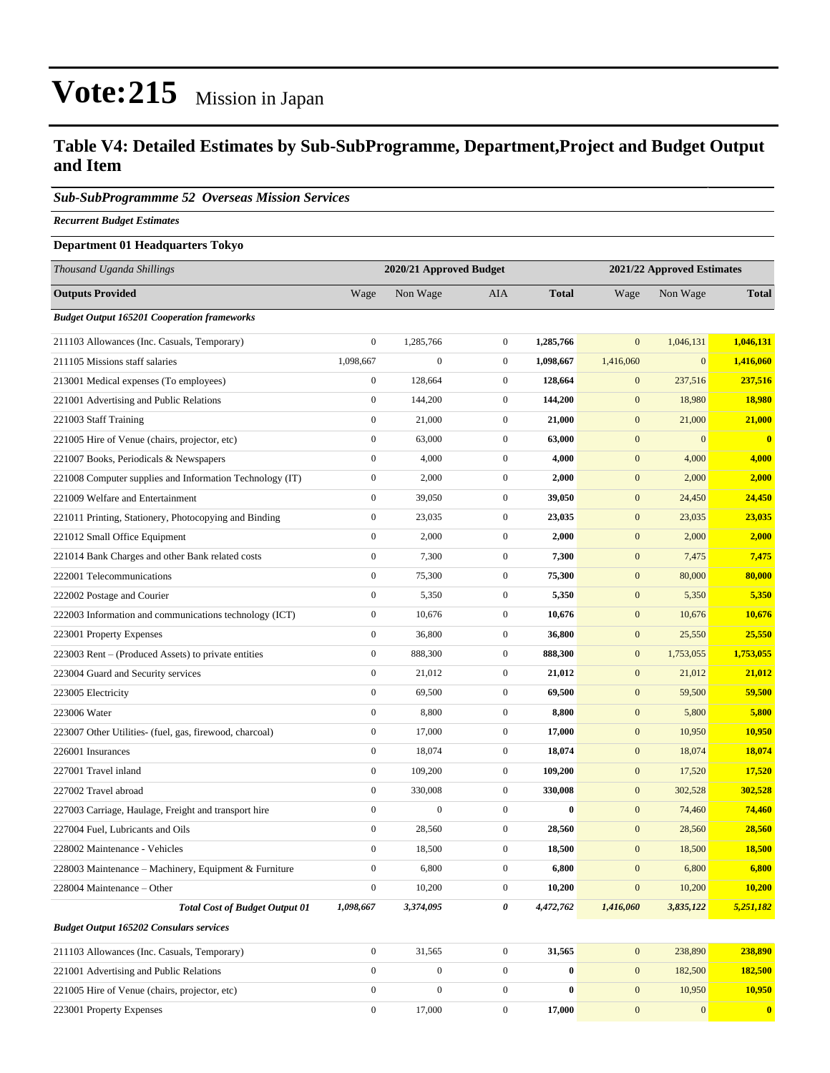#### **Table V4: Detailed Estimates by Sub-SubProgramme, Department,Project and Budget Output and Item**

#### *Sub-SubProgrammme 52 Overseas Mission Services*

*Recurrent Budget Estimates*

#### **Department 01 Headquarters Tokyo**

| Thousand Uganda Shillings                                | 2020/21 Approved Budget |                  |                  | 2021/22 Approved Estimates |                  |                  |                  |
|----------------------------------------------------------|-------------------------|------------------|------------------|----------------------------|------------------|------------------|------------------|
| <b>Outputs Provided</b>                                  | Wage                    | Non Wage         | <b>AIA</b>       | <b>Total</b>               | Wage             | Non Wage         | <b>Total</b>     |
| <b>Budget Output 165201 Cooperation frameworks</b>       |                         |                  |                  |                            |                  |                  |                  |
| 211103 Allowances (Inc. Casuals, Temporary)              | $\boldsymbol{0}$        | 1,285,766        | $\boldsymbol{0}$ | 1,285,766                  | $\mathbf{0}$     | 1,046,131        | 1,046,131        |
| 211105 Missions staff salaries                           | 1,098,667               | $\boldsymbol{0}$ | $\boldsymbol{0}$ | 1,098,667                  | 1,416,060        | $\mathbf{0}$     | 1,416,060        |
| 213001 Medical expenses (To employees)                   | $\boldsymbol{0}$        | 128,664          | $\boldsymbol{0}$ | 128,664                    | $\mathbf{0}$     | 237,516          | 237,516          |
| 221001 Advertising and Public Relations                  | $\boldsymbol{0}$        | 144,200          | $\boldsymbol{0}$ | 144,200                    | $\mathbf{0}$     | 18,980           | 18,980           |
| 221003 Staff Training                                    | $\boldsymbol{0}$        | 21,000           | $\boldsymbol{0}$ | 21,000                     | $\mathbf{0}$     | 21,000           | 21,000           |
| 221005 Hire of Venue (chairs, projector, etc)            | $\boldsymbol{0}$        | 63,000           | $\boldsymbol{0}$ | 63,000                     | $\boldsymbol{0}$ | $\boldsymbol{0}$ | $\bf{0}$         |
| 221007 Books, Periodicals & Newspapers                   | $\mathbf{0}$            | 4,000            | $\boldsymbol{0}$ | 4,000                      | $\mathbf{0}$     | 4,000            | 4,000            |
| 221008 Computer supplies and Information Technology (IT) | $\boldsymbol{0}$        | 2,000            | $\boldsymbol{0}$ | 2,000                      | $\mathbf{0}$     | 2,000            | 2,000            |
| 221009 Welfare and Entertainment                         | $\boldsymbol{0}$        | 39,050           | $\boldsymbol{0}$ | 39,050                     | $\mathbf{0}$     | 24,450           | 24,450           |
| 221011 Printing, Stationery, Photocopying and Binding    | $\boldsymbol{0}$        | 23,035           | $\boldsymbol{0}$ | 23,035                     | $\mathbf{0}$     | 23,035           | 23,035           |
| 221012 Small Office Equipment                            | $\boldsymbol{0}$        | 2,000            | $\boldsymbol{0}$ | 2,000                      | $\mathbf{0}$     | 2,000            | 2,000            |
| 221014 Bank Charges and other Bank related costs         | $\boldsymbol{0}$        | 7,300            | $\boldsymbol{0}$ | 7,300                      | $\mathbf{0}$     | 7,475            | 7,475            |
| 222001 Telecommunications                                | $\boldsymbol{0}$        | 75,300           | $\boldsymbol{0}$ | 75,300                     | $\mathbf{0}$     | 80,000           | 80,000           |
| 222002 Postage and Courier                               | $\boldsymbol{0}$        | 5,350            | $\boldsymbol{0}$ | 5,350                      | $\mathbf{0}$     | 5,350            | 5,350            |
| 222003 Information and communications technology (ICT)   | $\boldsymbol{0}$        | 10,676           | $\boldsymbol{0}$ | 10,676                     | $\mathbf{0}$     | 10,676           | 10,676           |
| 223001 Property Expenses                                 | $\boldsymbol{0}$        | 36,800           | $\boldsymbol{0}$ | 36,800                     | $\mathbf{0}$     | 25,550           | 25,550           |
| 223003 Rent - (Produced Assets) to private entities      | $\boldsymbol{0}$        | 888,300          | $\boldsymbol{0}$ | 888,300                    | $\mathbf{0}$     | 1,753,055        | 1,753,055        |
| 223004 Guard and Security services                       | $\boldsymbol{0}$        | 21,012           | $\boldsymbol{0}$ | 21,012                     | $\mathbf{0}$     | 21,012           | 21,012           |
| 223005 Electricity                                       | $\boldsymbol{0}$        | 69,500           | $\boldsymbol{0}$ | 69,500                     | $\mathbf{0}$     | 59,500           | 59,500           |
| 223006 Water                                             | $\boldsymbol{0}$        | 8,800            | $\boldsymbol{0}$ | 8,800                      | $\mathbf{0}$     | 5,800            | 5,800            |
| 223007 Other Utilities- (fuel, gas, firewood, charcoal)  | $\boldsymbol{0}$        | 17,000           | $\boldsymbol{0}$ | 17,000                     | $\mathbf{0}$     | 10,950           | 10,950           |
| 226001 Insurances                                        | $\boldsymbol{0}$        | 18,074           | $\boldsymbol{0}$ | 18,074                     | $\mathbf{0}$     | 18,074           | 18,074           |
| 227001 Travel inland                                     | $\boldsymbol{0}$        | 109,200          | $\boldsymbol{0}$ | 109,200                    | $\mathbf{0}$     | 17,520           | 17,520           |
| 227002 Travel abroad                                     | $\boldsymbol{0}$        | 330,008          | $\boldsymbol{0}$ | 330,008                    | $\mathbf{0}$     | 302,528          | 302,528          |
| 227003 Carriage, Haulage, Freight and transport hire     | $\boldsymbol{0}$        | $\boldsymbol{0}$ | $\boldsymbol{0}$ | $\bf{0}$                   | $\mathbf{0}$     | 74,460           | 74,460           |
| 227004 Fuel, Lubricants and Oils                         | $\boldsymbol{0}$        | 28,560           | $\boldsymbol{0}$ | 28,560                     | $\mathbf{0}$     | 28,560           | 28,560           |
| 228002 Maintenance - Vehicles                            | $\boldsymbol{0}$        | 18,500           | $\boldsymbol{0}$ | 18,500                     | $\mathbf{0}$     | 18,500           | 18,500           |
| 228003 Maintenance – Machinery, Equipment & Furniture    | $\boldsymbol{0}$        | 6,800            | $\boldsymbol{0}$ | 6,800                      | $\boldsymbol{0}$ | 6,800            | 6,800            |
| 228004 Maintenance – Other                               | $\overline{0}$          | 10,200           | $\overline{0}$   | 10,200                     | $\boldsymbol{0}$ | 10,200           | 10,200           |
| <b>Total Cost of Budget Output 01</b>                    | 1,098,667               | 3,374,095        | 0                | 4,472,762                  | 1,416,060        | 3,835,122        | 5,251,182        |
| <b>Budget Output 165202 Consulars services</b>           |                         |                  |                  |                            |                  |                  |                  |
| 211103 Allowances (Inc. Casuals, Temporary)              | $\boldsymbol{0}$        | 31,565           | $\boldsymbol{0}$ | 31,565                     | $\mathbf{0}$     | 238,890          | 238,890          |
| 221001 Advertising and Public Relations                  | $\mathbf{0}$            | $\boldsymbol{0}$ | $\boldsymbol{0}$ | $\bf{0}$                   | $\mathbf{0}$     | 182,500          | 182,500          |
| 221005 Hire of Venue (chairs, projector, etc)            | $\boldsymbol{0}$        | $\boldsymbol{0}$ | $\boldsymbol{0}$ | $\bf{0}$                   | $\mathbf{0}$     | 10,950           | 10,950           |
| 223001 Property Expenses                                 | $\boldsymbol{0}$        | 17,000           | $\boldsymbol{0}$ | 17,000                     | $\mathbf{0}$     | $\mathbf{0}$     | $\boldsymbol{0}$ |